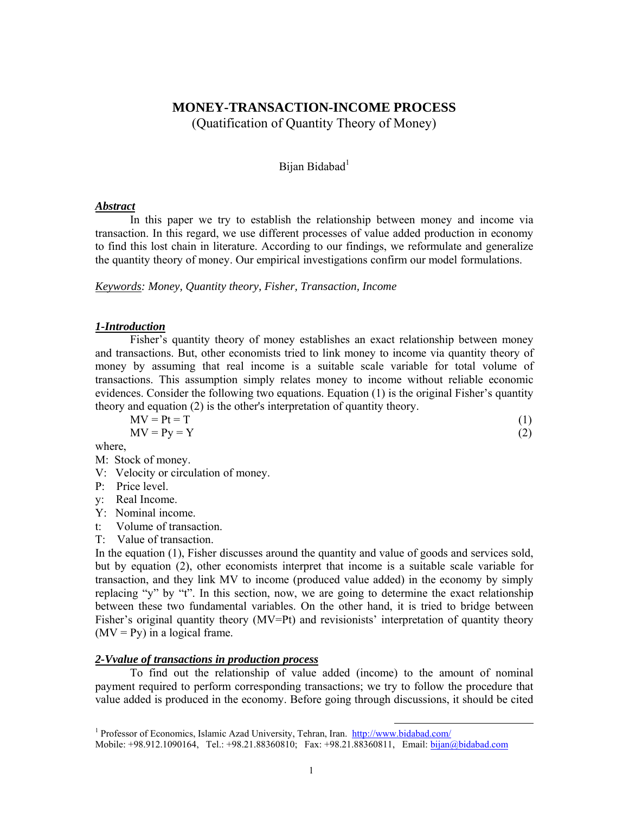# **MONEY-TRANSACTION-INCOME PROCESS**  (Quatification of Quantity Theory of Money)

## Bijan Bidabad<sup>1</sup>

### *Abstract*

In this paper we try to establish the relationship between money and income via transaction. In this regard, we use different processes of value added production in economy to find this lost chain in literature. According to our findings, we reformulate and generalize the quantity theory of money. Our empirical investigations confirm our model formulations.

*Keywords: Money, Quantity theory, Fisher, Transaction, Income* 

## *1-Introduction*

Fisher's quantity theory of money establishes an exact relationship between money and transactions. But, other economists tried to link money to income via quantity theory of money by assuming that real income is a suitable scale variable for total volume of transactions. This assumption simply relates money to income without reliable economic evidences. Consider the following two equations. Equation (1) is the original Fisher's quantity theory and equation (2) is the other's interpretation of quantity theory.

$$
MV = Pt = T
$$
  
\n
$$
MV = Py = Y
$$
  
\n(1)  
\n(2)

where,

|  |  | M: Stock of money. |
|--|--|--------------------|
|--|--|--------------------|

- V: Velocity or circulation of money.
- P: Price level.

y: Real Income.

- Y: Nominal income.
- t: Volume of transaction.
- T: Value of transaction.

In the equation (1), Fisher discusses around the quantity and value of goods and services sold, but by equation (2), other economists interpret that income is a suitable scale variable for transaction, and they link MV to income (produced value added) in the economy by simply replacing "y" by "t". In this section, now, we are going to determine the exact relationship between these two fundamental variables. On the other hand, it is tried to bridge between Fisher's original quantity theory (MV=Pt) and revisionists' interpretation of quantity theory  $(MV = Py)$  in a logical frame.

## *2-Vvalue of transactions in production process*

To find out the relationship of value added (income) to the amount of nominal payment required to perform corresponding transactions; we try to follow the procedure that value added is produced in the economy. Before going through discussions, it should be cited

<sup>&</sup>lt;sup>1</sup> Professor of Economics, Islamic Azad University, Tehran, Iran. http://www.bidabad.com/ Mobile: +98.912.1090164, Tel.: +98.21.88360810; Fax: +98.21.88360811, Email: bijan@bidabad.com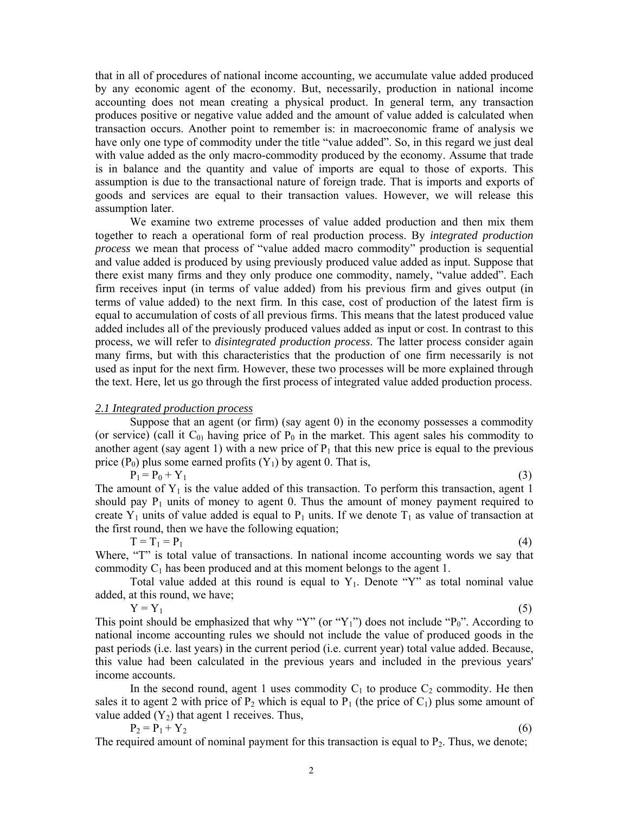that in all of procedures of national income accounting, we accumulate value added produced by any economic agent of the economy. But, necessarily, production in national income accounting does not mean creating a physical product. In general term, any transaction produces positive or negative value added and the amount of value added is calculated when transaction occurs. Another point to remember is: in macroeconomic frame of analysis we have only one type of commodity under the title "value added". So, in this regard we just deal with value added as the only macro-commodity produced by the economy. Assume that trade is in balance and the quantity and value of imports are equal to those of exports. This assumption is due to the transactional nature of foreign trade. That is imports and exports of goods and services are equal to their transaction values. However, we will release this assumption later.

We examine two extreme processes of value added production and then mix them together to reach a operational form of real production process. By *integrated production process* we mean that process of "value added macro commodity" production is sequential and value added is produced by using previously produced value added as input. Suppose that there exist many firms and they only produce one commodity, namely, "value added". Each firm receives input (in terms of value added) from his previous firm and gives output (in terms of value added) to the next firm. In this case, cost of production of the latest firm is equal to accumulation of costs of all previous firms. This means that the latest produced value added includes all of the previously produced values added as input or cost. In contrast to this process, we will refer to *disintegrated production process*. The latter process consider again many firms, but with this characteristics that the production of one firm necessarily is not used as input for the next firm. However, these two processes will be more explained through the text. Here, let us go through the first process of integrated value added production process.

#### *2.1 Integrated production process*

 Suppose that an agent (or firm) (say agent 0) in the economy possesses a commodity (or service) (call it  $C_0$ ) having price of  $P_0$  in the market. This agent sales his commodity to another agent (say agent 1) with a new price of  $P_1$  that this new price is equal to the previous price ( $P_0$ ) plus some earned profits ( $Y_1$ ) by agent 0. That is,

 $P_1 = P_0 + Y_1$  (3)

The amount of  $Y_1$  is the value added of this transaction. To perform this transaction, agent 1 should pay  $P_1$  units of money to agent 0. Thus the amount of money payment required to create Y<sub>1</sub> units of value added is equal to P<sub>1</sub> units. If we denote  $T_1$  as value of transaction at the first round, then we have the following equation;

 $T = T_1 = P_1$  (4)

Where, "T" is total value of transactions. In national income accounting words we say that commodity  $C_1$  has been produced and at this moment belongs to the agent 1.

Total value added at this round is equal to  $Y_1$ . Denote "Y" as total nominal value added, at this round, we have;

 $Y = Y_1$  (5) This point should be emphasized that why "Y" (or "Y<sub>1</sub>") does not include " $P_0$ ". According to national income accounting rules we should not include the value of produced goods in the past periods (i.e. last years) in the current period (i.e. current year) total value added. Because, this value had been calculated in the previous years and included in the previous years' income accounts.

In the second round, agent 1 uses commodity  $C_1$  to produce  $C_2$  commodity. He then sales it to agent 2 with price of  $P_2$  which is equal to  $P_1$  (the price of  $C_1$ ) plus some amount of value added  $(Y_2)$  that agent 1 receives. Thus,

 $P_2 = P_1 + Y_2$  (6) The required amount of nominal payment for this transaction is equal to  $P_2$ . Thus, we denote;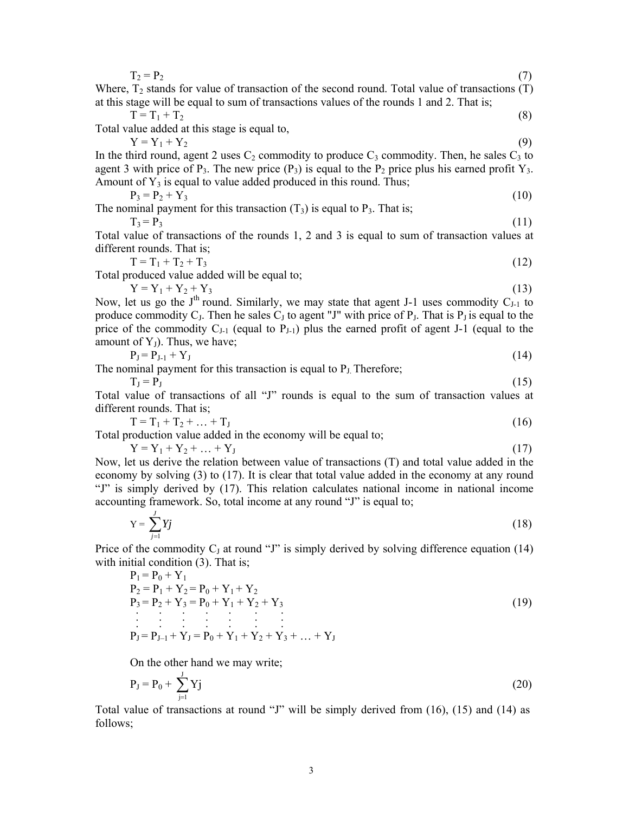| $T_2 = P_2$<br>(7)                                                                                                                                                                      |  |
|-----------------------------------------------------------------------------------------------------------------------------------------------------------------------------------------|--|
| Where, $T_2$ stands for value of transaction of the second round. Total value of transactions (T)                                                                                       |  |
| at this stage will be equal to sum of transactions values of the rounds 1 and 2. That is;                                                                                               |  |
| $T = T_1 + T_2$<br>(8)<br>Total value added at this stage is equal to,                                                                                                                  |  |
| $Y = Y_1 + Y_2$<br>(9)                                                                                                                                                                  |  |
| In the third round, agent 2 uses $C_2$ commodity to produce $C_3$ commodity. Then, he sales $C_3$ to                                                                                    |  |
| agent 3 with price of $P_3$ . The new price $(P_3)$ is equal to the $P_2$ price plus his earned profit $Y_3$ .<br>Amount of $Y_3$ is equal to value added produced in this round. Thus, |  |
| $P_3 = P_2 + Y_3$<br>(10)                                                                                                                                                               |  |
| The nominal payment for this transaction $(T_3)$ is equal to $P_3$ . That is,                                                                                                           |  |
| $T_3 = P_3$<br>(11)                                                                                                                                                                     |  |
| Total value of transactions of the rounds 1, 2 and 3 is equal to sum of transaction values at                                                                                           |  |
| different rounds. That is;                                                                                                                                                              |  |
| $T = T_1 + T_2 + T_3$<br>(12)                                                                                                                                                           |  |
| Total produced value added will be equal to;                                                                                                                                            |  |
| $Y = Y_1 + Y_2 + Y_3$<br>(13)                                                                                                                                                           |  |
| Now, let us go the $Jth$ round. Similarly, we may state that agent J-1 uses commodity $C_{J-1}$ to                                                                                      |  |
| produce commodity $C_J$ . Then he sales $C_J$ to agent "J" with price of $P_J$ . That is $P_J$ is equal to the                                                                          |  |
| price of the commodity $C_{J-1}$ (equal to $P_{J-1}$ ) plus the earned profit of agent J-1 (equal to the                                                                                |  |
| amount of $Y_J$ ). Thus, we have;                                                                                                                                                       |  |
| $P_J = P_{J-1} + Y_J$<br>(14)                                                                                                                                                           |  |
| The nominal payment for this transaction is equal to $PJ$ Therefore;                                                                                                                    |  |
| (15)<br>$T_I = P_I$                                                                                                                                                                     |  |
| Total value of transactions of all "J" rounds is equal to the sum of transaction values at                                                                                              |  |
| different rounds. That is;                                                                                                                                                              |  |
| $T = T_1 + T_2 +  + T_J$<br>(16)                                                                                                                                                        |  |
| Total production value added in the economy will be equal to;                                                                                                                           |  |
| $Y = Y_1 + Y_2 +  + Y_J$<br>(17)                                                                                                                                                        |  |
| Now, let us derive the relation between value of transactions (T) and total value added in the                                                                                          |  |
| economy by solving (3) to (17). It is clear that total value added in the economy at any round                                                                                          |  |
| "J" is simply derived by (17). This relation calculates national income in national income                                                                                              |  |
| accounting framework. So, total income at any round "J" is equal to;                                                                                                                    |  |
|                                                                                                                                                                                         |  |
| $Y = \sum' y j$<br>(18)                                                                                                                                                                 |  |
| Price of the commodity $C_J$ at round "J" is simply derived by solving difference equation (14)                                                                                         |  |
| with initial condition (3). That is;                                                                                                                                                    |  |
| $P_1 = P_0 + Y_1$                                                                                                                                                                       |  |
| $P_2 = P_1 + Y_2 = P_0 + Y_1 + Y_2$                                                                                                                                                     |  |
| $P_3 = P_2 + Y_3 = P_0 + Y_1 + Y_2 + Y_3$<br>(19)                                                                                                                                       |  |
|                                                                                                                                                                                         |  |
|                                                                                                                                                                                         |  |

 $P_J = P_{J-1} + Y_J = P_0 + Y_1 + Y_2 + Y_3 + ... + Y_J$ 

On the other hand we may write;

$$
P_J = P_0 + \sum_{j=1}^{J} Y_j
$$
 (20)

Total value of transactions at round "J" will be simply derived from (16), (15) and (14) as follows;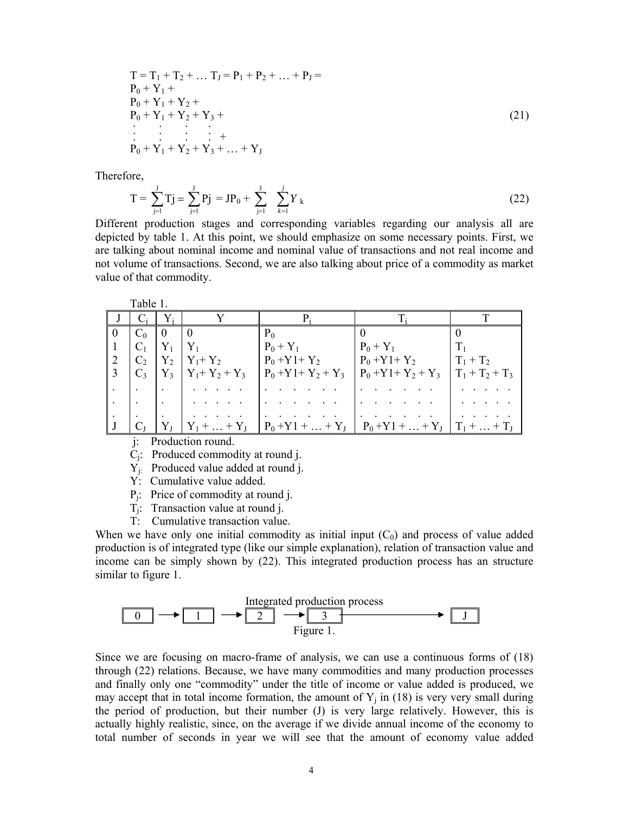$$
T = T_1 + T_2 + ... T_J = P_1 + P_2 + ... + P_J =
$$
  
\n
$$
P_0 + Y_1 +
$$
  
\n
$$
P_0 + Y_1 + Y_2 +
$$
  
\n
$$
P_0 + Y_1 + Y_2 + Y_3 + ...
$$
  
\n
$$
\vdots \qquad \vdots \qquad \vdots
$$
  
\n
$$
P_0 + Y_1 + Y_2 + Y_3 + ... + Y_J
$$
\n(21)

Therefore,

$$
T = \sum_{j=1}^{J} Tj = \sum_{j=1}^{J} Pj = JP_0 + \sum_{j=1}^{J} \sum_{k=1}^{j} Y_k
$$
 (22)

Different production stages and corresponding variables regarding our analysis all are depicted by table 1. At this point, we should emphasize on some necessary points. First, we are talking about nominal income and nominal value of transactions and not real income and not volume of transactions. Second, we are also talking about price of a commodity as market value of that commodity.

Table 1.

|              | $C_i$   $Y_i$ |                |                     |                                                                                 |                   |                   |
|--------------|---------------|----------------|---------------------|---------------------------------------------------------------------------------|-------------------|-------------------|
| - 0          | $C_0$         | $\overline{0}$ |                     | $P_0$                                                                           |                   |                   |
|              | $C_1$         | $ Y_1 Y_1$     |                     | $P_0 + Y_1$                                                                     | $P_0 + Y_1$       |                   |
| <sup>2</sup> | $C_2$         |                | $Y_2$ $Y_1+Y_2$     | $P_0 + Y_1 + Y_2$                                                               | $P_0 + Y_1 + Y_2$ | $T_1 + T_2$       |
|              | $C_3$         |                | $Y_3$ $Y_1+Y_2+Y_3$ | $P_0 + Y_1 + Y_2 + Y_3$                                                         | $P_0+Y_1+Y_2+Y_3$ | $T_1 + T_2 + T_3$ |
|              |               |                |                     |                                                                                 |                   |                   |
|              |               |                |                     |                                                                                 |                   |                   |
|              |               |                |                     |                                                                                 |                   |                   |
|              |               |                |                     | $ Y_1 +  + Y_J $ $ P_0 + Y_1 +  + Y_J $ $ P_0 + Y_1 +  + Y_J $ $ T_1 +  + T_J $ |                   |                   |

j: Production round.

Cj: Produced commodity at round j.

 $Y_i$ : Produced value added at round j.

Y: Cumulative value added.

- Pj: Price of commodity at round j.
- Tj: Transaction value at round j.
- T: Cumulative transaction value.

When we have only one initial commodity as initial input  $(C_0)$  and process of value added production is of integrated type (like our simple explanation), relation of transaction value and income can be simply shown by (22). This integrated production process has an structure similar to figure 1.



Since we are focusing on macro-frame of analysis, we can use a continuous forms of (18) through (22) relations. Because, we have many commodities and many production processes and finally only one "commodity" under the title of income or value added is produced, we may accept that in total income formation, the amount of  $Y_i$  in (18) is very very small during the period of production, but their number (J) is very large relatively. However, this is actually highly realistic, since, on the average if we divide annual income of the economy to total number of seconds in year we will see that the amount of economy value added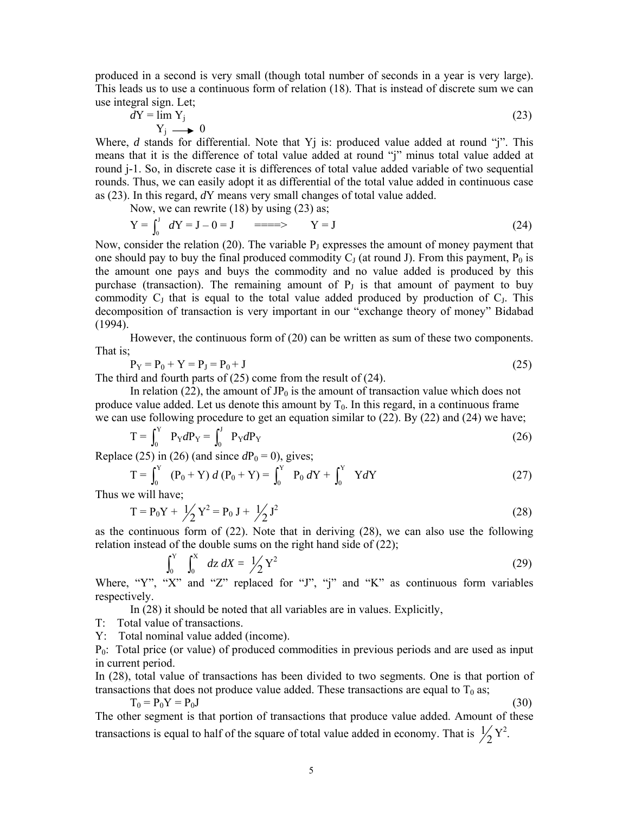produced in a second is very small (though total number of seconds in a year is very large). This leads us to use a continuous form of relation (18). That is instead of discrete sum we can use integral sign. Let;

$$
dY = \lim_{Y_j} Y_j
$$
 (23)

Where, *d* stands for differential. Note that Y<sub>j</sub> is: produced value added at round "j". This means that it is the difference of total value added at round "j" minus total value added at round j-1. So, in discrete case it is differences of total value added variable of two sequential rounds. Thus, we can easily adopt it as differential of the total value added in continuous case as (23). In this regard, *d*Y means very small changes of total value added.

Now, we can rewrite (18) by using (23) as;

$$
Y = \int_0^J \ dY = J - 0 = J \qquad \implies \qquad Y = J \tag{24}
$$

Now, consider the relation (20). The variable  $P_J$  expresses the amount of money payment that one should pay to buy the final produced commodity  $C_J$  (at round J). From this payment,  $P_0$  is the amount one pays and buys the commodity and no value added is produced by this purchase (transaction). The remaining amount of  $P<sub>J</sub>$  is that amount of payment to buy commodity  $C_J$  that is equal to the total value added produced by production of  $C_J$ . This decomposition of transaction is very important in our "exchange theory of money" Bidabad (1994).

 However, the continuous form of (20) can be written as sum of these two components. That is;

$$
P_{Y} = P_{0} + Y = P_{J} = P_{0} + J \tag{25}
$$

The third and fourth parts of (25) come from the result of (24).

In relation (22), the amount of  $JP_0$  is the amount of transaction value which does not produce value added. Let us denote this amount by  $T_0$ . In this regard, in a continuous frame we can use following procedure to get an equation similar to (22). By (22) and (24) we have;

$$
T = \int_0^Y \ P_Y dP_Y = \int_0^J \ P_Y dP_Y \tag{26}
$$

Replace (25) in (26) (and since  $dP_0 = 0$ ), gives;

$$
T = \int_0^Y (P_0 + Y) d(P_0 + Y) = \int_0^Y P_0 dY + \int_0^Y Y dY
$$
 (27)

Thus we will have;

$$
T = P_0 Y + \frac{1}{2} Y^2 = P_0 J + \frac{1}{2} J^2
$$
 (28)

as the continuous form of (22). Note that in deriving (28), we can also use the following relation instead of the double sums on the right hand side of (22);

$$
\int_0^Y \int_0^X dz \, dX = \frac{1}{2} Y^2 \tag{29}
$$

Where, "Y", "X" and "Z" replaced for "J", "j" and "K" as continuous form variables respectively.

In (28) it should be noted that all variables are in values. Explicitly,

T: Total value of transactions.

Y: Total nominal value added (income).

 $P_0$ : Total price (or value) of produced commodities in previous periods and are used as input in current period.

In (28), total value of transactions has been divided to two segments. One is that portion of transactions that does not produce value added. These transactions are equal to  $T_0$  as;

$$
T_0 = P_0 Y = P_0 J \tag{30}
$$

The other segment is that portion of transactions that produce value added. Amount of these transactions is equal to half of the square of total value added in economy. That is  $\frac{1}{2}Y^2$ .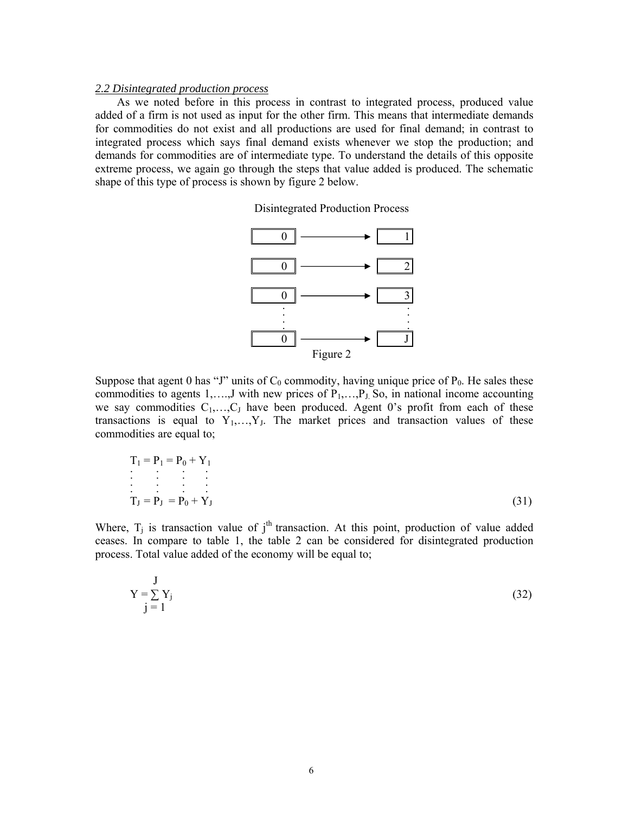#### *2.2 Disintegrated production process*

As we noted before in this process in contrast to integrated process, produced value added of a firm is not used as input for the other firm. This means that intermediate demands for commodities do not exist and all productions are used for final demand; in contrast to integrated process which says final demand exists whenever we stop the production; and demands for commodities are of intermediate type. To understand the details of this opposite extreme process, we again go through the steps that value added is produced. The schematic shape of this type of process is shown by figure 2 below.

Disintegrated Production Process



Suppose that agent 0 has "J" units of  $C_0$  commodity, having unique price of  $P_0$ . He sales these commodities to agents 1,..., J with new prices of  $P_1, \ldots, P_J$  So, in national income accounting we say commodities  $C_1, \ldots, C_J$  have been produced. Agent 0's profit from each of these transactions is equal to  $Y_1, \ldots, Y_J$ . The market prices and transaction values of these commodities are equal to;

$$
T_1 = P_1 = P_0 + Y_1
$$
  
\n
$$
\vdots
$$
  
\n
$$
T_J = P_J = P_0 + Y_J
$$
\n(31)

Where,  $T_j$  is transaction value of j<sup>th</sup> transaction. At this point, production of value added ceases. In compare to table 1, the table 2 can be considered for disintegrated production process. Total value added of the economy will be equal to;

$$
Y = \sum_{j=1}^{J} Y_j
$$
 (32)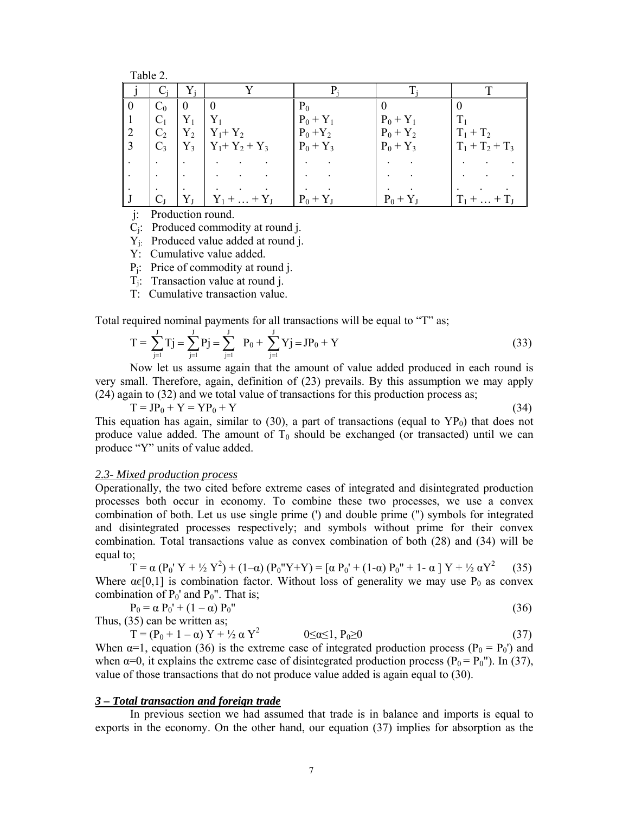Table 2.

|               | $C_0$          | $\theta$ |                | $P_0$       |             |                   |
|---------------|----------------|----------|----------------|-------------|-------------|-------------------|
|               | C <sub>1</sub> | $Y_1$    | Y,             | $P_0 + Y_1$ | $P_0 + Y_1$ |                   |
| $\mathcal{L}$ | C <sub>2</sub> | $Y_2$    | $Y_1 + Y_2$    | $P_0 + Y_2$ | $P_0 + Y_2$ | $T_1 + T_2$       |
|               | $C_3$          | $Y_3$    | $Y_1+Y_2+Y_3$  | $P_0 + Y_3$ | $P_0 + Y_3$ | $T_1 + T_2 + T_3$ |
|               |                |          |                |             |             |                   |
|               |                |          |                |             |             |                   |
|               |                |          |                |             |             |                   |
|               |                | Yт       | $Y_1 +  + Y_I$ | $P_0 + Y_1$ | $P_0 + Y_1$ | $T_1 +  + T_L$    |

j: Production round.

Cj: Produced commodity at round j.

Yj: Produced value added at round j.

Y: Cumulative value added.

Pj: Price of commodity at round j.

Tj: Transaction value at round j.

T: Cumulative transaction value.

Total required nominal payments for all transactions will be equal to "T" as;

$$
T = \sum_{j=1}^{J} T j = \sum_{j=1}^{J} P j = \sum_{j=1}^{J} P_{0} + \sum_{j=1}^{J} Y j = JP_{0} + Y
$$
\n(33)

 Now let us assume again that the amount of value added produced in each round is very small. Therefore, again, definition of (23) prevails. By this assumption we may apply (24) again to (32) and we total value of transactions for this production process as;

$$
T = JP_0 + Y = YP_0 + Y
$$
\n(34)

This equation has again, similar to (30), a part of transactions (equal to  $YP<sub>0</sub>$ ) that does not produce value added. The amount of  $T_0$  should be exchanged (or transacted) until we can produce "Y" units of value added.

## *2.3- Mixed production process*

Operationally, the two cited before extreme cases of integrated and disintegrated production processes both occur in economy. To combine these two processes, we use a convex combination of both. Let us use single prime (') and double prime (") symbols for integrated and disintegrated processes respectively; and symbols without prime for their convex combination. Total transactions value as convex combination of both (28) and (34) will be equal to;

T =  $\alpha (P_0' Y + \frac{1}{2} Y^2) + (1-\alpha) (P_0'' Y + Y) = [\alpha P_0' + (1-\alpha) P_0'' + 1-\alpha] Y + \frac{1}{2} \alpha Y^2$  (35) Where  $\alpha \in [0,1]$  is combination factor. Without loss of generality we may use P<sub>0</sub> as convex combination of  $P_0'$  and  $P_0''$ . That is;

$$
P_0 = \alpha P_0' + (1 - \alpha) P_0''
$$
  
Thus, (35) can be written as; (36)

 $T = (P_0 + 1 - \alpha) Y + \frac{1}{2} \alpha Y^2$   $0 \le \alpha \le 1, P_0 \ge 0$  (37) When  $\alpha=1$ , equation (36) is the extreme case of integrated production process (P<sub>0</sub> = P<sub>0</sub>') and when  $\alpha=0$ , it explains the extreme case of disintegrated production process ( $P_0 = P_0$ "). In (37), value of those transactions that do not produce value added is again equal to (30).

### *3 – Total transaction and foreign trade*

 In previous section we had assumed that trade is in balance and imports is equal to exports in the economy. On the other hand, our equation (37) implies for absorption as the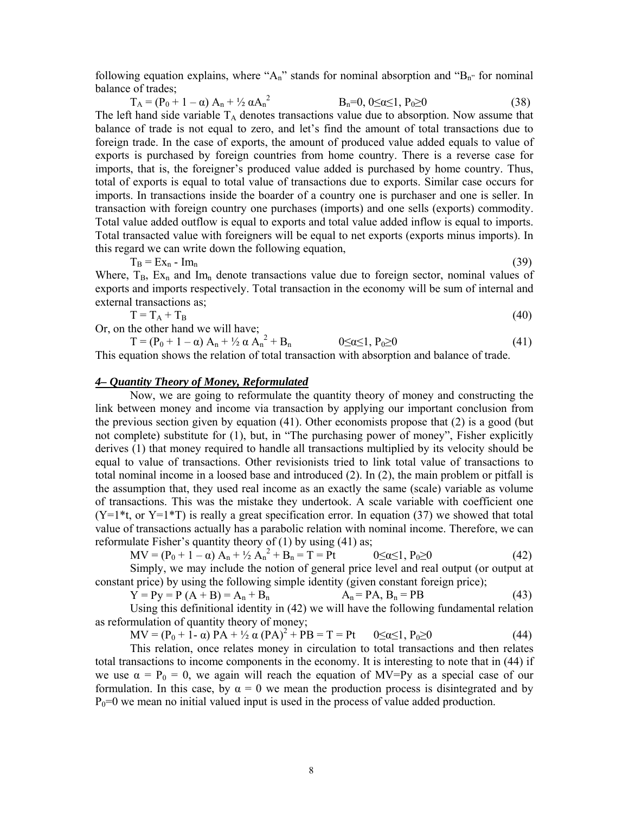following equation explains, where "A<sub>n</sub>" stands for nominal absorption and "B<sub>n</sub>" for nominal balance of trades;

 $T_A = (P_0 + 1 - \alpha) A_n + \frac{1}{2} \alpha A_n^2$  $B_n=0$ ,  $0\leq \alpha \leq 1$ ,  $P_0\geq 0$  (38) The left hand side variable TA denotes transactions value due to absorption. Now assume that balance of trade is not equal to zero, and let's find the amount of total transactions due to foreign trade. In the case of exports, the amount of produced value added equals to value of exports is purchased by foreign countries from home country. There is a reverse case for imports, that is, the foreigner's produced value added is purchased by home country. Thus, total of exports is equal to total value of transactions due to exports. Similar case occurs for imports. In transactions inside the boarder of a country one is purchaser and one is seller. In transaction with foreign country one purchases (imports) and one sells (exports) commodity. Total value added outflow is equal to exports and total value added inflow is equal to imports. Total transacted value with foreigners will be equal to net exports (exports minus imports). In this regard we can write down the following equation,

 $T_B = Ex_n - Im_n$  (39)

Where,  $T_B$ ,  $Ex_n$  and  $Im_n$  denote transactions value due to foreign sector, nominal values of exports and imports respectively. Total transaction in the economy will be sum of internal and external transactions as;

$$
T = T_A + T_B \tag{40}
$$

Or, on the other hand we will have;

 $T = (P_0 + 1 - \alpha) A_n + \frac{1}{2} \alpha A_n^2$  $0 \le \alpha \le 1$ ,  $P_0 \ge 0$  (41) This equation shows the relation of total transaction with absorption and balance of trade.

## *4– Quantity Theory of Money, Reformulated*

Now, we are going to reformulate the quantity theory of money and constructing the link between money and income via transaction by applying our important conclusion from the previous section given by equation  $(41)$ . Other economists propose that  $(2)$  is a good (but not complete) substitute for (1), but, in "The purchasing power of money", Fisher explicitly derives (1) that money required to handle all transactions multiplied by its velocity should be equal to value of transactions. Other revisionists tried to link total value of transactions to total nominal income in a loosed base and introduced (2). In (2), the main problem or pitfall is the assumption that, they used real income as an exactly the same (scale) variable as volume of transactions. This was the mistake they undertook. A scale variable with coefficient one  $(Y=1*t$ , or  $Y=1*T)$  is really a great specification error. In equation (37) we showed that total value of transactions actually has a parabolic relation with nominal income. Therefore, we can reformulate Fisher's quantity theory of (1) by using (41) as;

 $MV = (P_0 + 1 - \alpha)$ 2

$$
0 \leq \alpha \leq 1, P_0 \geq 0 \tag{42}
$$

Simply, we may include the notion of general price level and real output (or output at constant price) by using the following simple identity (given constant foreign price);

$$
Y = Py = P (A + B) = A_n + B_n
$$
  
\n
$$
A_n = PA, B_n = PB
$$
 (43)

Using this definitional identity in (42) we will have the following fundamental relation as reformulation of quantity theory of money;

 $MV = (P_0 + \hat{1} - \alpha) PA + \frac{1}{2} \alpha (PA)^2 + PB = T = Pt$   $0 \le \alpha \le 1, P_0 \ge 0$  (44)

This relation, once relates money in circulation to total transactions and then relates total transactions to income components in the economy. It is interesting to note that in (44) if we use  $\alpha = P_0 = 0$ , we again will reach the equation of MV=Py as a special case of our formulation. In this case, by  $\alpha = 0$  we mean the production process is disintegrated and by  $P_0=0$  we mean no initial valued input is used in the process of value added production.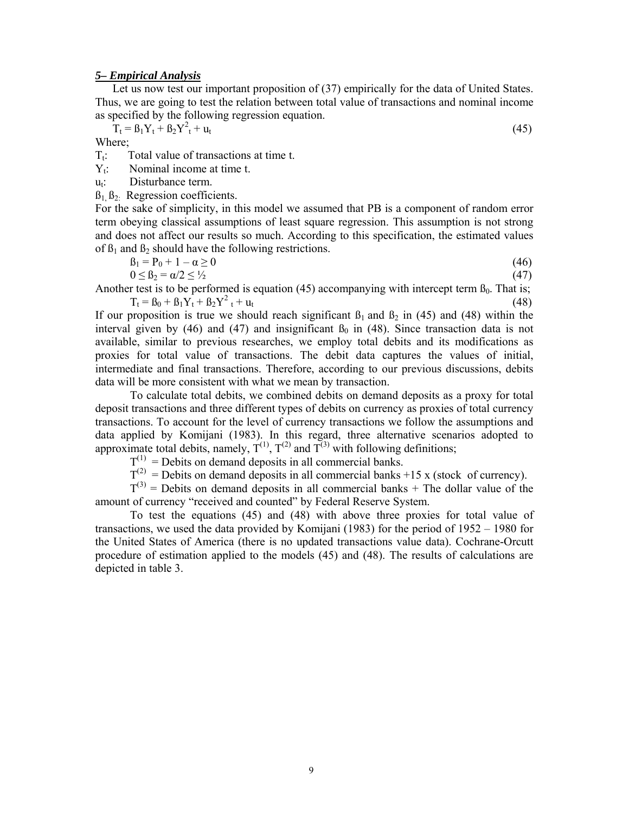## *5– Empirical Analysis*

Let us now test our important proposition of  $(37)$  empirically for the data of United States. Thus, we are going to test the relation between total value of transactions and nominal income as specified by the following regression equation.

$$
T_t = B_1 Y_t + B_2 Y_t^2 + u_t \tag{45}
$$

Where;

 $T_t$ : Total value of transactions at time t.

 $Y_t$ : Nominal income at time t.

 $u_t$ : Disturbance term.

 $B_1, B_2$ : Regression coefficients.

For the sake of simplicity, in this model we assumed that PB is a component of random error term obeying classical assumptions of least square regression. This assumption is not strong and does not affect our results so much. According to this specification, the estimated values of  $\beta_1$  and  $\beta_2$  should have the following restrictions.

$$
\beta_1 = P_0 + 1 - \alpha \ge 0 \tag{46}
$$

 $0 \leq B_2 = \alpha/2 \leq \frac{1}{2}$  (47)

Another test is to be performed is equation (45) accompanying with intercept term  $\beta_0$ . That is;  $T_t = B_0 + B_1Y_t + B_2Y_t^2 + H_t$  $t_t + u_t$  (48)

If our proposition is true we should reach significant  $\beta_1$  and  $\beta_2$  in (45) and (48) within the interval given by (46) and (47) and insignificant  $\beta_0$  in (48). Since transaction data is not available, similar to previous researches, we employ total debits and its modifications as proxies for total value of transactions. The debit data captures the values of initial, intermediate and final transactions. Therefore, according to our previous discussions, debits data will be more consistent with what we mean by transaction.

 To calculate total debits, we combined debits on demand deposits as a proxy for total deposit transactions and three different types of debits on currency as proxies of total currency transactions. To account for the level of currency transactions we follow the assumptions and data applied by Komijani (1983). In this regard, three alternative scenarios adopted to approximate total debits, namely,  $T^{(1)}$ ,  $T^{(2)}$  and  $T^{(3)}$  with following definitions;

 $T^{(1)}$  = Debits on demand deposits in all commercial banks.

 $T^{(2)}$  = Debits on demand deposits in all commercial banks +15 x (stock of currency).

 $T^{(3)}$  = Debits on demand deposits in all commercial banks + The dollar value of the amount of currency "received and counted" by Federal Reserve System.

 To test the equations (45) and (48) with above three proxies for total value of transactions, we used the data provided by Komijani (1983) for the period of 1952 – 1980 for the United States of America (there is no updated transactions value data). Cochrane-Orcutt procedure of estimation applied to the models (45) and (48). The results of calculations are depicted in table 3.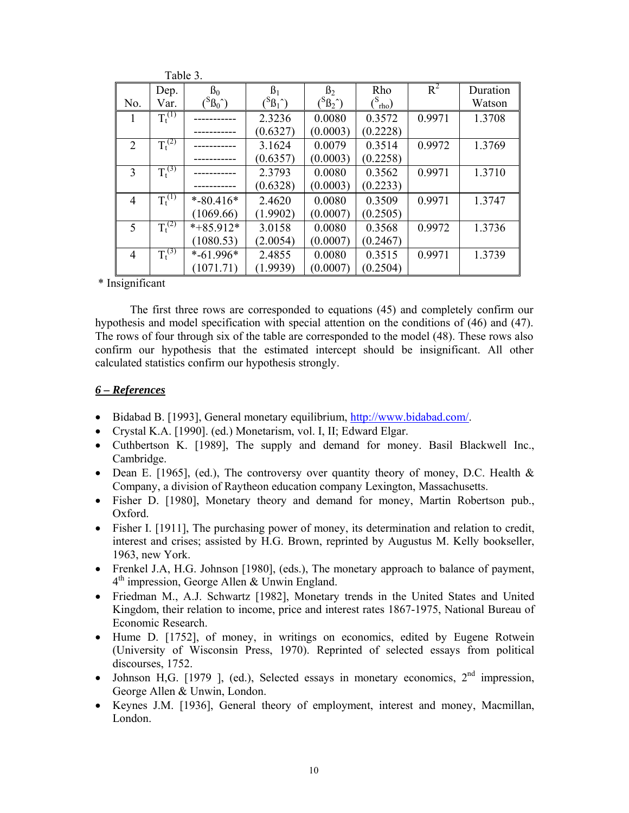|              | e dole 5.   |                          |                   |                   |               |        |          |
|--------------|-------------|--------------------------|-------------------|-------------------|---------------|--------|----------|
|              | Dep.        | B <sub>0</sub>           | $\beta_1$         | B <sub>2</sub>    | Rho           | $R^2$  | Duration |
| No.          | Var.        | ${}^8B_0$ <sup>2</sup> ) | $\mathcal{B}_1$ ) | $\mathcal{B}_2$ ) | $\frac{1}{2}$ |        | Watson   |
| $\mathbf{I}$ | $T_t^{(1)}$ |                          | 2.3236            | 0.0080            | 0.3572        | 0.9971 | 1.3708   |
|              |             |                          | (0.6327)          | (0.0003)          | (0.2228)      |        |          |
| 2            | $T_t^{(2)}$ |                          | 3.1624            | 0.0079            | 0.3514        | 0.9972 | 1.3769   |
|              |             |                          | (0.6357)          | (0.0003)          | (0.2258)      |        |          |
| 3            | $T_t^{(3)}$ |                          | 2.3793            | 0.0080            | 0.3562        | 0.9971 | 1.3710   |
|              |             |                          | (0.6328)          | (0.0003)          | (0.2233)      |        |          |
| 4            | $T_t^{(1)}$ | $*$ -80.416 $*$          | 2.4620            | 0.0080            | 0.3509        | 0.9971 | 1.3747   |
|              |             | (1069.66)                | (1.9902)          | (0.0007)          | (0.2505)      |        |          |
| 5            | $T_t^{(2)}$ | $*+85.912*$              | 3.0158            | 0.0080            | 0.3568        | 0.9972 | 1.3736   |
|              |             | (1080.53)                | (2.0054)          | (0.0007)          | (0.2467)      |        |          |
| 4            | $T_t^{(3)}$ | $*$ -61.996*             | 2.4855            | 0.0080            | 0.3515        | 0.9971 | 1.3739   |
|              |             | (1071.71)                | (1.9939)          | (0.0007)          | (0.2504)      |        |          |

\* Insignificant

 $T: 1.1.2$ 

The first three rows are corresponded to equations (45) and completely confirm our hypothesis and model specification with special attention on the conditions of (46) and (47). The rows of four through six of the table are corresponded to the model (48). These rows also confirm our hypothesis that the estimated intercept should be insignificant. All other calculated statistics confirm our hypothesis strongly.

## *6 – References*

- Bidabad B. [1993], General monetary equilibrium, http://www.bidabad.com/.
- Crystal K.A. [1990]. (ed.) Monetarism, vol. I, II; Edward Elgar.
- Cuthbertson K. [1989], The supply and demand for money. Basil Blackwell Inc., Cambridge.
- Dean E. [1965], (ed.), The controversy over quantity theory of money, D.C. Health & Company, a division of Raytheon education company Lexington, Massachusetts.
- Fisher D. [1980], Monetary theory and demand for money, Martin Robertson pub., Oxford.
- Fisher I. [1911], The purchasing power of money, its determination and relation to credit, interest and crises; assisted by H.G. Brown, reprinted by Augustus M. Kelly bookseller, 1963, new York.
- Frenkel J.A, H.G. Johnson [1980], (eds.), The monetary approach to balance of payment, 4<sup>th</sup> impression, George Allen & Unwin England.
- Friedman M., A.J. Schwartz [1982], Monetary trends in the United States and United Kingdom, their relation to income, price and interest rates 1867-1975, National Bureau of Economic Research.
- Hume D. [1752], of money, in writings on economics, edited by Eugene Rotwein (University of Wisconsin Press, 1970). Reprinted of selected essays from political discourses, 1752.
- Johnson H,G. [1979 ], (ed.), Selected essays in monetary economics,  $2<sup>nd</sup>$  impression, George Allen & Unwin, London.
- Keynes J.M. [1936], General theory of employment, interest and money, Macmillan, London.